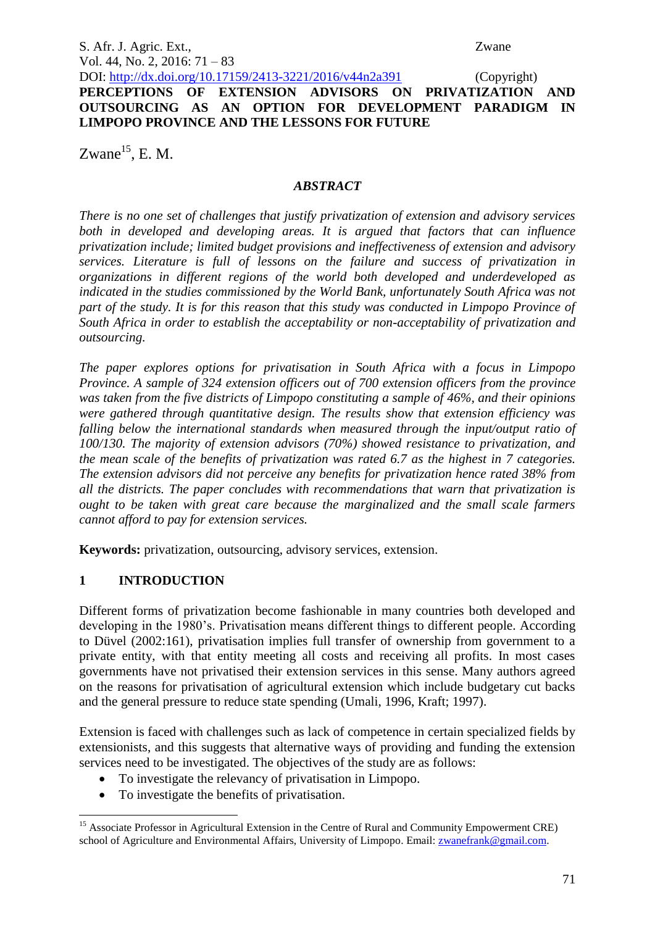S. Afr. J. Agric. Ext., Zwane Vol. 44, No. 2, 2016: 71 – 83

DOI: http://dx.doi.org/10.17159/2413-3221/2016/v44n2a391 (Copyright) **PERCEPTIONS OF EXTENSION ADVISORS ON PRIVATIZATION AND OUTSOURCING AS AN OPTION FOR DEVELOPMENT PARADIGM IN LIMPOPO PROVINCE AND THE LESSONS FOR FUTURE** 

Zwane $^{15}$ , E. M.

### *ABSTRACT*

*There is no one set of challenges that justify privatization of extension and advisory services*  both in developed and developing areas. It is argued that factors that can influence *privatization include; limited budget provisions and ineffectiveness of extension and advisory services. Literature is full of lessons on the failure and success of privatization in organizations in different regions of the world both developed and underdeveloped as indicated in the studies commissioned by the World Bank, unfortunately South Africa was not part of the study. It is for this reason that this study was conducted in Limpopo Province of South Africa in order to establish the acceptability or non-acceptability of privatization and outsourcing.* 

*The paper explores options for privatisation in South Africa with a focus in Limpopo Province. A sample of 324 extension officers out of 700 extension officers from the province was taken from the five districts of Limpopo constituting a sample of 46%, and their opinions were gathered through quantitative design. The results show that extension efficiency was falling below the international standards when measured through the input/output ratio of 100/130. The majority of extension advisors (70%) showed resistance to privatization, and the mean scale of the benefits of privatization was rated 6.7 as the highest in 7 categories. The extension advisors did not perceive any benefits for privatization hence rated 38% from all the districts. The paper concludes with recommendations that warn that privatization is ought to be taken with great care because the marginalized and the small scale farmers cannot afford to pay for extension services.* 

**Keywords:** privatization, outsourcing, advisory services, extension.

## **1 INTRODUCTION**

Different forms of privatization become fashionable in many countries both developed and developing in the 1980's. Privatisation means different things to different people. According to Düvel (2002:161), privatisation implies full transfer of ownership from government to a private entity, with that entity meeting all costs and receiving all profits. In most cases governments have not privatised their extension services in this sense. Many authors agreed on the reasons for privatisation of agricultural extension which include budgetary cut backs and the general pressure to reduce state spending (Umali, 1996, Kraft; 1997).

Extension is faced with challenges such as lack of competence in certain specialized fields by extensionists, and this suggests that alternative ways of providing and funding the extension services need to be investigated. The objectives of the study are as follows:

- To investigate the relevancy of privatisation in Limpopo.
- To investigate the benefits of privatisation.

<sup>1</sup> <sup>15</sup> Associate Professor in Agricultural Extension in the Centre of Rural and Community Empowerment CRE) school of Agriculture and Environmental Affairs, University of Limpopo. Email[: zwanefrank@gmail.com.](mailto:zwanefrank@gmail.com)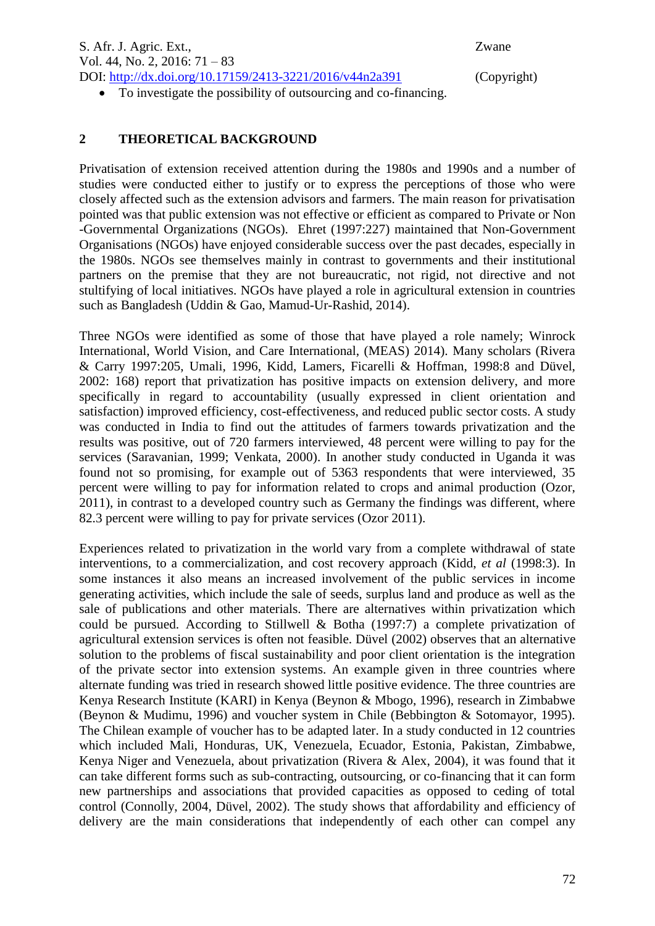S. Afr. J. Agric. Ext., Zwane Vol. 44, No. 2, 2016: 71 – 83 DOI: http://dx.doi.org/10.17159/2413-3221/2016/v44n2a391 (Copyright)

To investigate the possibility of outsourcing and co-financing.

### **2 THEORETICAL BACKGROUND**

Privatisation of extension received attention during the 1980s and 1990s and a number of studies were conducted either to justify or to express the perceptions of those who were closely affected such as the extension advisors and farmers. The main reason for privatisation pointed was that public extension was not effective or efficient as compared to Private or Non -Governmental Organizations (NGOs). Ehret (1997:227) maintained that Non-Government Organisations (NGOs) have enjoyed considerable success over the past decades, especially in the 1980s. NGOs see themselves mainly in contrast to governments and their institutional partners on the premise that they are not bureaucratic, not rigid, not directive and not stultifying of local initiatives. NGOs have played a role in agricultural extension in countries such as Bangladesh (Uddin & Gao, Mamud-Ur-Rashid, 2014).

Three NGOs were identified as some of those that have played a role namely; Winrock International, World Vision, and Care International, (MEAS) 2014). Many scholars (Rivera & Carry 1997:205, Umali, 1996, Kidd, Lamers, Ficarelli & Hoffman, 1998:8 and Düvel, 2002: 168) report that privatization has positive impacts on extension delivery, and more specifically in regard to accountability (usually expressed in client orientation and satisfaction) improved efficiency, cost-effectiveness, and reduced public sector costs. A study was conducted in India to find out the attitudes of farmers towards privatization and the results was positive, out of 720 farmers interviewed, 48 percent were willing to pay for the services (Saravanian, 1999; Venkata, 2000). In another study conducted in Uganda it was found not so promising, for example out of 5363 respondents that were interviewed, 35 percent were willing to pay for information related to crops and animal production (Ozor, 2011), in contrast to a developed country such as Germany the findings was different, where 82.3 percent were willing to pay for private services (Ozor 2011).

Experiences related to privatization in the world vary from a complete withdrawal of state interventions, to a commercialization, and cost recovery approach (Kidd, *et al* (1998:3). In some instances it also means an increased involvement of the public services in income generating activities, which include the sale of seeds, surplus land and produce as well as the sale of publications and other materials. There are alternatives within privatization which could be pursued. According to Stillwell & Botha (1997:7) a complete privatization of agricultural extension services is often not feasible. Düvel (2002) observes that an alternative solution to the problems of fiscal sustainability and poor client orientation is the integration of the private sector into extension systems. An example given in three countries where alternate funding was tried in research showed little positive evidence. The three countries are Kenya Research Institute (KARI) in Kenya (Beynon & Mbogo, 1996), research in Zimbabwe (Beynon & Mudimu, 1996) and voucher system in Chile (Bebbington & Sotomayor, 1995). The Chilean example of voucher has to be adapted later. In a study conducted in 12 countries which included Mali, Honduras, UK, Venezuela, Ecuador, Estonia, Pakistan, Zimbabwe, Kenya Niger and Venezuela, about privatization (Rivera & Alex, 2004), it was found that it can take different forms such as sub-contracting, outsourcing, or co-financing that it can form new partnerships and associations that provided capacities as opposed to ceding of total control (Connolly, 2004, Düvel, 2002). The study shows that affordability and efficiency of delivery are the main considerations that independently of each other can compel any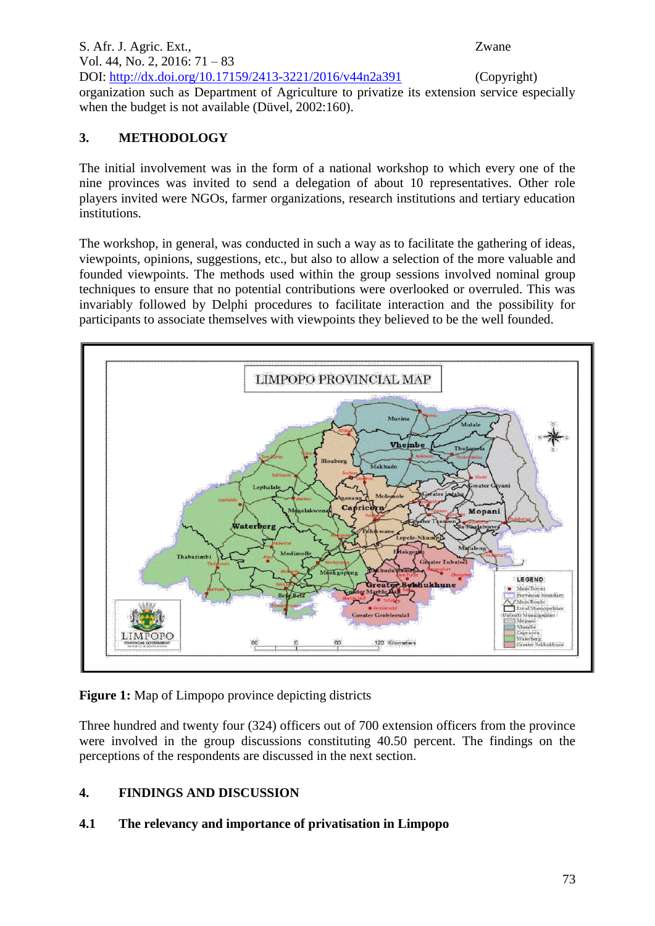S. Afr. J. Agric. Ext., Zwane Vol. 44, No. 2, 2016: 71 – 83 DOI: http://dx.doi.org/10.17159/2413-3221/2016/v44n2a391 (Copyright) organization such as Department of Agriculture to privatize its extension service especially when the budget is not available (Düvel, 2002:160).

## **3. METHODOLOGY**

The initial involvement was in the form of a national workshop to which every one of the nine provinces was invited to send a delegation of about 10 representatives. Other role players invited were NGOs, farmer organizations, research institutions and tertiary education institutions.

The workshop, in general, was conducted in such a way as to facilitate the gathering of ideas, viewpoints, opinions, suggestions, etc., but also to allow a selection of the more valuable and founded viewpoints. The methods used within the group sessions involved nominal group techniques to ensure that no potential contributions were overlooked or overruled. This was invariably followed by Delphi procedures to facilitate interaction and the possibility for participants to associate themselves with viewpoints they believed to be the well founded.



**Figure 1:** Map of Limpopo province depicting districts

Three hundred and twenty four (324) officers out of 700 extension officers from the province were involved in the group discussions constituting 40.50 percent. The findings on the perceptions of the respondents are discussed in the next section.

## **4. FINDINGS AND DISCUSSION**

## **4.1 The relevancy and importance of privatisation in Limpopo**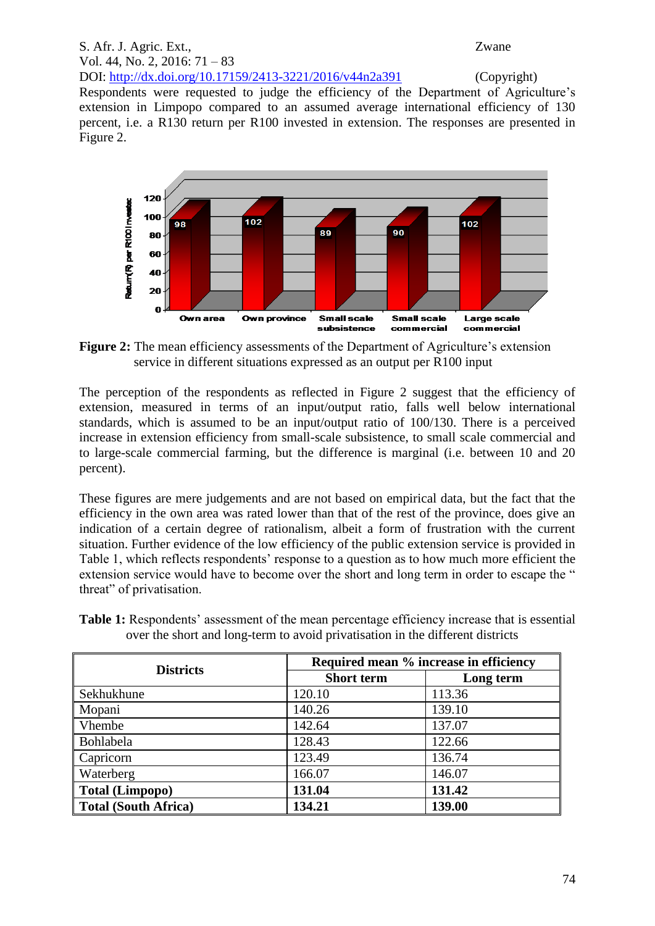# S. Afr. J. Agric. Ext., Zwane Vol. 44, No. 2, 2016: 71 – 83 DOI: http://dx.doi.org/10.17159/2413-3221/2016/v44n2a391 (Copyright)

Respondents were requested to judge the efficiency of the Department of Agriculture's extension in Limpopo compared to an assumed average international efficiency of 130 percent, i.e. a R130 return per R100 invested in extension. The responses are presented in Figure 2.



**Figure 2:** The mean efficiency assessments of the Department of Agriculture's extension service in different situations expressed as an output per R100 input

The perception of the respondents as reflected in Figure 2 suggest that the efficiency of extension, measured in terms of an input/output ratio, falls well below international standards, which is assumed to be an input/output ratio of 100/130. There is a perceived increase in extension efficiency from small-scale subsistence, to small scale commercial and to large-scale commercial farming, but the difference is marginal (i.e. between 10 and 20 percent).

These figures are mere judgements and are not based on empirical data, but the fact that the efficiency in the own area was rated lower than that of the rest of the province, does give an indication of a certain degree of rationalism, albeit a form of frustration with the current situation. Further evidence of the low efficiency of the public extension service is provided in Table 1, which reflects respondents' response to a question as to how much more efficient the extension service would have to become over the short and long term in order to escape the " threat" of privatisation.

**Table 1:** Respondents' assessment of the mean percentage efficiency increase that is essential over the short and long-term to avoid privatisation in the different districts

| <b>Districts</b>            | Required mean % increase in efficiency |           |  |
|-----------------------------|----------------------------------------|-----------|--|
|                             | <b>Short term</b>                      | Long term |  |
| Sekhukhune                  | 120.10                                 | 113.36    |  |
| Mopani                      | 140.26                                 | 139.10    |  |
| <b>Vhembe</b>               | 142.64                                 | 137.07    |  |
| Bohlabela                   | 128.43                                 | 122.66    |  |
| Capricorn                   | 123.49                                 | 136.74    |  |
| <b>Waterberg</b>            | 166.07                                 | 146.07    |  |
| <b>Total (Limpopo)</b>      | 131.04                                 | 131.42    |  |
| <b>Total (South Africa)</b> | 134.21                                 | 139.00    |  |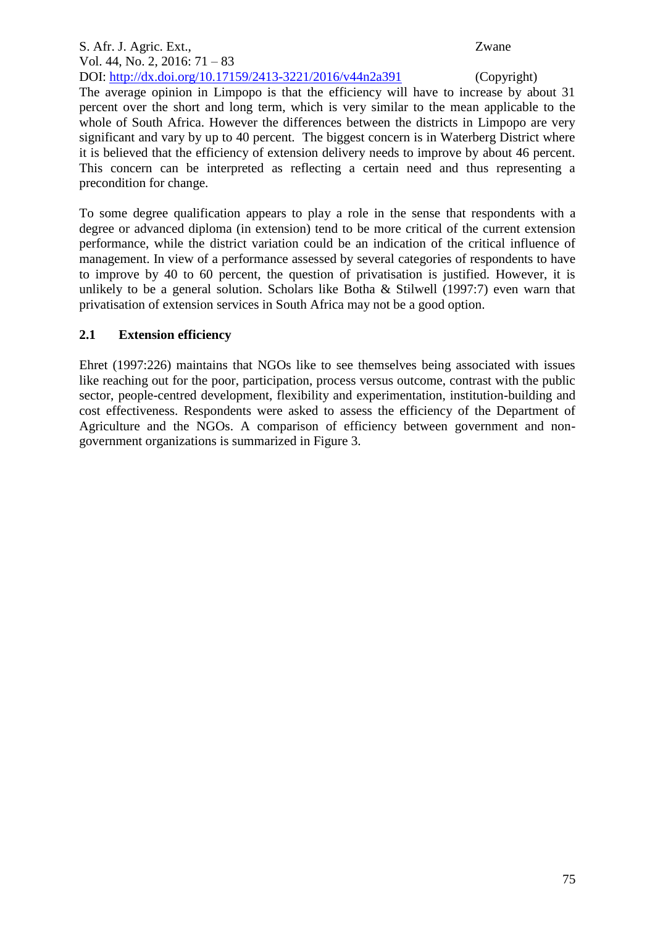#### S. Afr. J. Agric. Ext., Zwane Vol. 44, No. 2, 2016: 71 – 83 DOI: http://dx.doi.org/10.17159/2413-3221/2016/v44n2a391 (Copyright)

The average opinion in Limpopo is that the efficiency will have to increase by about 31 percent over the short and long term, which is very similar to the mean applicable to the whole of South Africa. However the differences between the districts in Limpopo are very significant and vary by up to 40 percent. The biggest concern is in Waterberg District where it is believed that the efficiency of extension delivery needs to improve by about 46 percent. This concern can be interpreted as reflecting a certain need and thus representing a precondition for change.

To some degree qualification appears to play a role in the sense that respondents with a degree or advanced diploma (in extension) tend to be more critical of the current extension performance, while the district variation could be an indication of the critical influence of management. In view of a performance assessed by several categories of respondents to have to improve by 40 to 60 percent, the question of privatisation is justified. However, it is unlikely to be a general solution. Scholars like Botha & Stilwell (1997:7) even warn that privatisation of extension services in South Africa may not be a good option.

## **2.1 Extension efficiency**

Ehret (1997:226) maintains that NGOs like to see themselves being associated with issues like reaching out for the poor, participation, process versus outcome, contrast with the public sector, people-centred development, flexibility and experimentation, institution-building and cost effectiveness. Respondents were asked to assess the efficiency of the Department of Agriculture and the NGOs. A comparison of efficiency between government and nongovernment organizations is summarized in Figure 3.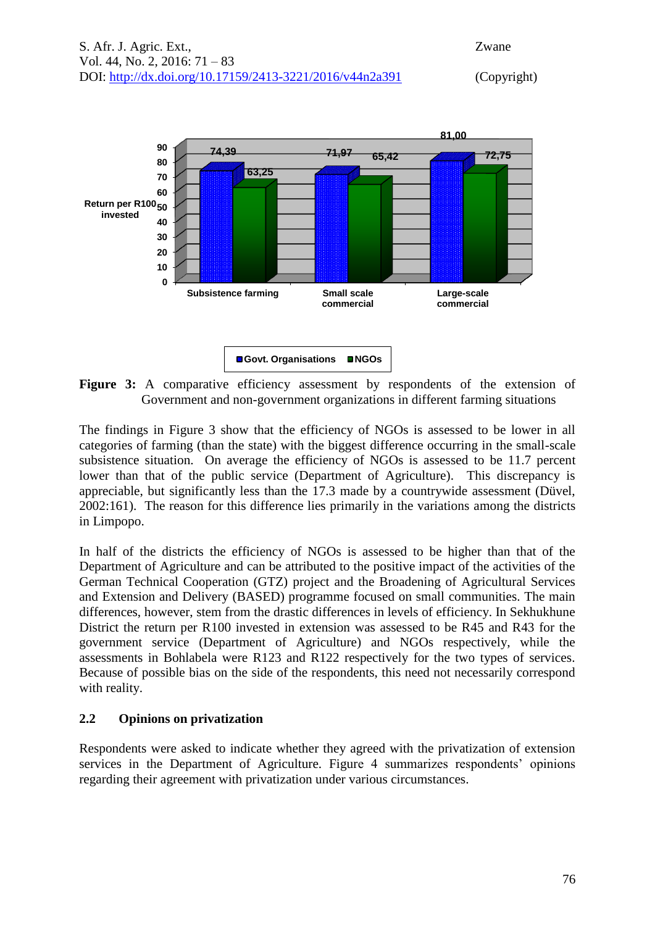

**Figure 3:** A comparative efficiency assessment by respondents of the extension of Government and non-government organizations in different farming situations

The findings in Figure 3 show that the efficiency of NGOs is assessed to be lower in all categories of farming (than the state) with the biggest difference occurring in the small-scale subsistence situation. On average the efficiency of NGOs is assessed to be 11.7 percent lower than that of the public service (Department of Agriculture). This discrepancy is appreciable, but significantly less than the 17.3 made by a countrywide assessment (Düvel, 2002:161). The reason for this difference lies primarily in the variations among the districts in Limpopo.

In half of the districts the efficiency of NGOs is assessed to be higher than that of the Department of Agriculture and can be attributed to the positive impact of the activities of the German Technical Cooperation (GTZ) project and the Broadening of Agricultural Services and Extension and Delivery (BASED) programme focused on small communities. The main differences, however, stem from the drastic differences in levels of efficiency. In Sekhukhune District the return per R100 invested in extension was assessed to be R45 and R43 for the government service (Department of Agriculture) and NGOs respectively, while the assessments in Bohlabela were R123 and R122 respectively for the two types of services. Because of possible bias on the side of the respondents, this need not necessarily correspond with reality.

#### **2.2 Opinions on privatization**

Respondents were asked to indicate whether they agreed with the privatization of extension services in the Department of Agriculture. Figure 4 summarizes respondents' opinions regarding their agreement with privatization under various circumstances.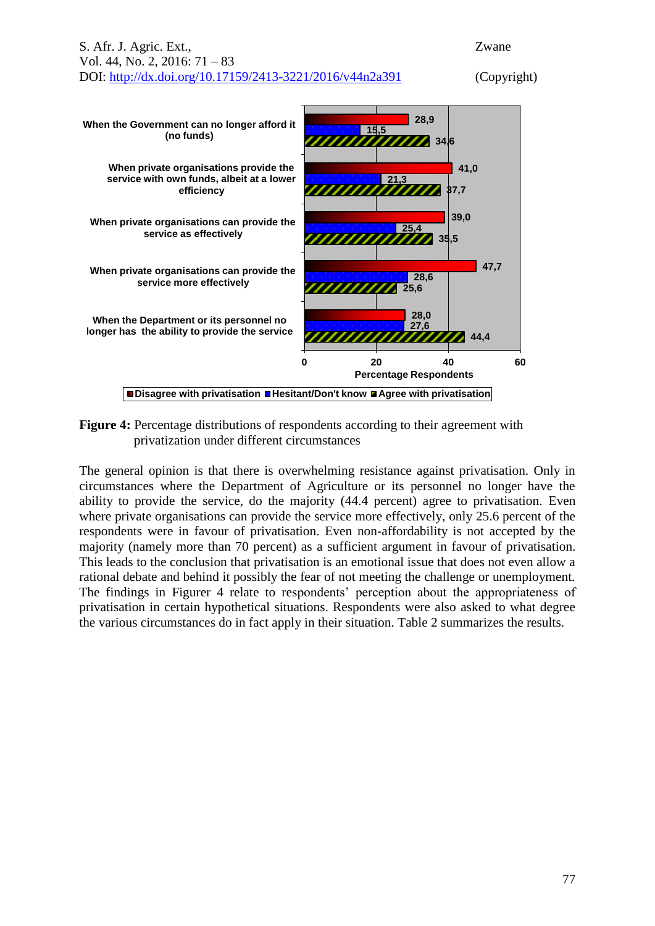

**Figure 4:** Percentage distributions of respondents according to their agreement with privatization under different circumstances

The general opinion is that there is overwhelming resistance against privatisation. Only in circumstances where the Department of Agriculture or its personnel no longer have the ability to provide the service, do the majority (44.4 percent) agree to privatisation. Even where private organisations can provide the service more effectively, only 25.6 percent of the respondents were in favour of privatisation. Even non-affordability is not accepted by the majority (namely more than 70 percent) as a sufficient argument in favour of privatisation. This leads to the conclusion that privatisation is an emotional issue that does not even allow a rational debate and behind it possibly the fear of not meeting the challenge or unemployment. The findings in Figurer 4 relate to respondents' perception about the appropriateness of privatisation in certain hypothetical situations. Respondents were also asked to what degree the various circumstances do in fact apply in their situation. Table 2 summarizes the results.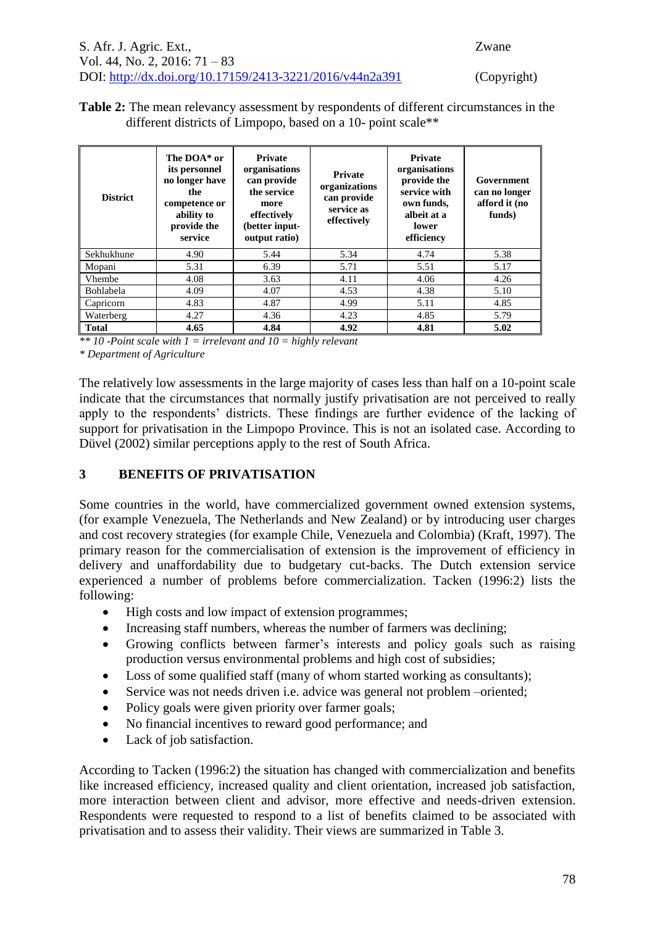**Table 2:** The mean relevancy assessment by respondents of different circumstances in the different districts of Limpopo, based on a 10- point scale\*\*

| <b>District</b>  | The DOA* or<br>its personnel<br>no longer have<br>the.<br>competence or<br>ability to<br>provide the<br>service | <b>Private</b><br>organisations<br>can provide<br>the service<br>more<br>effectively<br>(better input-<br>output ratio) | <b>Private</b><br>organizations<br>can provide<br>service as<br>effectively | <b>Private</b><br>organisations<br>provide the<br>service with<br>own funds,<br>albeit at a<br>lower<br>efficiency | Government<br>can no longer<br>afford it (no<br>funds) |
|------------------|-----------------------------------------------------------------------------------------------------------------|-------------------------------------------------------------------------------------------------------------------------|-----------------------------------------------------------------------------|--------------------------------------------------------------------------------------------------------------------|--------------------------------------------------------|
| Sekhukhune       | 4.90                                                                                                            | 5.44                                                                                                                    | 5.34                                                                        | 4.74                                                                                                               | 5.38                                                   |
| Mopani           | 5.31                                                                                                            | 6.39                                                                                                                    | 5.71                                                                        | 5.51                                                                                                               | 5.17                                                   |
| <b>Vhembe</b>    | 4.08                                                                                                            | 3.63                                                                                                                    | 4.11                                                                        | 4.06                                                                                                               | 4.26                                                   |
| <b>Bohlabela</b> | 4.09                                                                                                            | 4.07                                                                                                                    | 4.53                                                                        | 4.38                                                                                                               | 5.10                                                   |
| Capricorn        | 4.83                                                                                                            | 4.87                                                                                                                    | 4.99                                                                        | 5.11                                                                                                               | 4.85                                                   |
| Waterberg        | 4.27                                                                                                            | 4.36                                                                                                                    | 4.23                                                                        | 4.85                                                                                                               | 5.79                                                   |
| <b>Total</b>     | 4.65                                                                                                            | 4.84                                                                                                                    | 4.92                                                                        | 4.81                                                                                                               | 5.02                                                   |

*\*\* 10 -Point scale with 1 = irrelevant and 10 = highly relevant*

*\* Department of Agriculture*

The relatively low assessments in the large majority of cases less than half on a 10-point scale indicate that the circumstances that normally justify privatisation are not perceived to really apply to the respondents' districts. These findings are further evidence of the lacking of support for privatisation in the Limpopo Province. This is not an isolated case. According to Düvel (2002) similar perceptions apply to the rest of South Africa.

## **3 BENEFITS OF PRIVATISATION**

Some countries in the world, have commercialized government owned extension systems, (for example Venezuela, The Netherlands and New Zealand) or by introducing user charges and cost recovery strategies (for example Chile, Venezuela and Colombia) (Kraft, 1997). The primary reason for the commercialisation of extension is the improvement of efficiency in delivery and unaffordability due to budgetary cut-backs. The Dutch extension service experienced a number of problems before commercialization. Tacken (1996:2) lists the following:

- High costs and low impact of extension programmes;
- Increasing staff numbers, whereas the number of farmers was declining;
- Growing conflicts between farmer's interests and policy goals such as raising production versus environmental problems and high cost of subsidies;
- Loss of some qualified staff (many of whom started working as consultants);
- Service was not needs driven i.e. advice was general not problem –oriented;
- Policy goals were given priority over farmer goals;
- No financial incentives to reward good performance; and
- Lack of job satisfaction.

According to Tacken (1996:2) the situation has changed with commercialization and benefits like increased efficiency, increased quality and client orientation, increased job satisfaction, more interaction between client and advisor, more effective and needs-driven extension. Respondents were requested to respond to a list of benefits claimed to be associated with privatisation and to assess their validity. Their views are summarized in Table 3.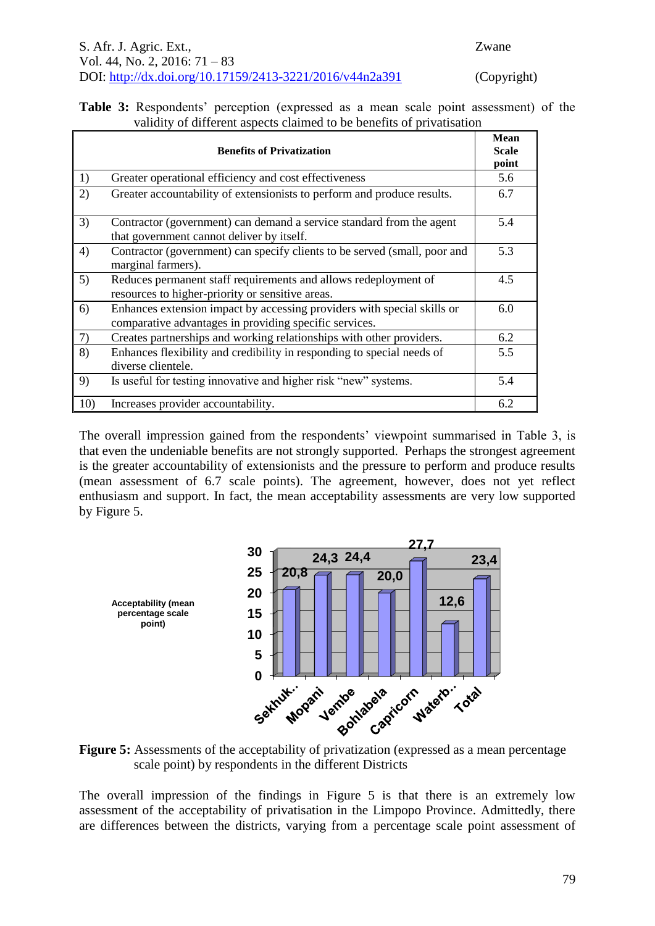**Table 3:** Respondents' perception (expressed as a mean scale point assessment) of the validity of different aspects claimed to be benefits of privatisation

| <b>Benefits of Privatization</b> |                                                                                                                                   | <b>Mean</b><br><b>Scale</b><br>point |
|----------------------------------|-----------------------------------------------------------------------------------------------------------------------------------|--------------------------------------|
| 1)                               | Greater operational efficiency and cost effectiveness                                                                             | 5.6                                  |
| 2)                               | Greater accountability of extensionists to perform and produce results.                                                           | 6.7                                  |
| 3)                               | Contractor (government) can demand a service standard from the agent<br>that government cannot deliver by itself.                 | 5.4                                  |
| 4)                               | Contractor (government) can specify clients to be served (small, poor and<br>marginal farmers).                                   | 5.3                                  |
| 5)                               | Reduces permanent staff requirements and allows redeployment of<br>resources to higher-priority or sensitive areas.               | 4.5                                  |
| 6)                               | Enhances extension impact by accessing providers with special skills or<br>comparative advantages in providing specific services. | 6.0                                  |
| 7)                               | Creates partnerships and working relationships with other providers.                                                              | 6.2                                  |
| 8)                               | Enhances flexibility and credibility in responding to special needs of<br>diverse clientele.                                      | 5.5                                  |
| 9)                               | Is useful for testing innovative and higher risk "new" systems.                                                                   | 5.4                                  |
| 10)                              | Increases provider accountability.                                                                                                | 6.2                                  |

The overall impression gained from the respondents' viewpoint summarised in Table 3, is that even the undeniable benefits are not strongly supported. Perhaps the strongest agreement is the greater accountability of extensionists and the pressure to perform and produce results (mean assessment of 6.7 scale points). The agreement, however, does not yet reflect enthusiasm and support. In fact, the mean acceptability assessments are very low supported by Figure 5.



**Figure 5:** Assessments of the acceptability of privatization (expressed as a mean percentage scale point) by respondents in the different Districts

The overall impression of the findings in Figure 5 is that there is an extremely low assessment of the acceptability of privatisation in the Limpopo Province. Admittedly, there are differences between the districts, varying from a percentage scale point assessment of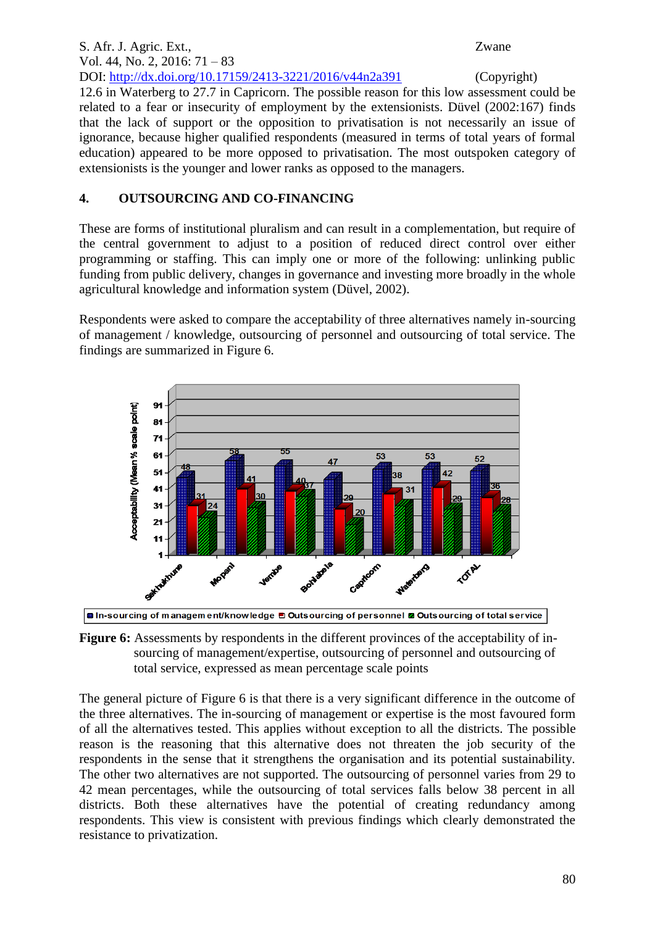#### S. Afr. J. Agric. Ext., Zwane Vol. 44, No. 2, 2016: 71 – 83 DOI: http://dx.doi.org/10.17159/2413-3221/2016/v44n2a391 (Copyright) 12.6 in Waterberg to 27.7 in Capricorn. The possible reason for this low assessment could be related to a fear or insecurity of employment by the extensionists. Düvel (2002:167) finds that the lack of support or the opposition to privatisation is not necessarily an issue of ignorance, because higher qualified respondents (measured in terms of total years of formal education) appeared to be more opposed to privatisation. The most outspoken category of extensionists is the younger and lower ranks as opposed to the managers.

#### **4. OUTSOURCING AND CO-FINANCING**

These are forms of institutional pluralism and can result in a complementation, but require of the central government to adjust to a position of reduced direct control over either programming or staffing. This can imply one or more of the following: unlinking public funding from public delivery, changes in governance and investing more broadly in the whole agricultural knowledge and information system (Düvel, 2002).

Respondents were asked to compare the acceptability of three alternatives namely in-sourcing of management / knowledge, outsourcing of personnel and outsourcing of total service. The findings are summarized in Figure 6.





**Figure 6:** Assessments by respondents in the different provinces of the acceptability of insourcing of management/expertise, outsourcing of personnel and outsourcing of total service, expressed as mean percentage scale points

The general picture of Figure 6 is that there is a very significant difference in the outcome of the three alternatives. The in-sourcing of management or expertise is the most favoured form of all the alternatives tested. This applies without exception to all the districts. The possible reason is the reasoning that this alternative does not threaten the job security of the respondents in the sense that it strengthens the organisation and its potential sustainability. The other two alternatives are not supported. The outsourcing of personnel varies from 29 to 42 mean percentages, while the outsourcing of total services falls below 38 percent in all districts. Both these alternatives have the potential of creating redundancy among respondents. This view is consistent with previous findings which clearly demonstrated the resistance to privatization.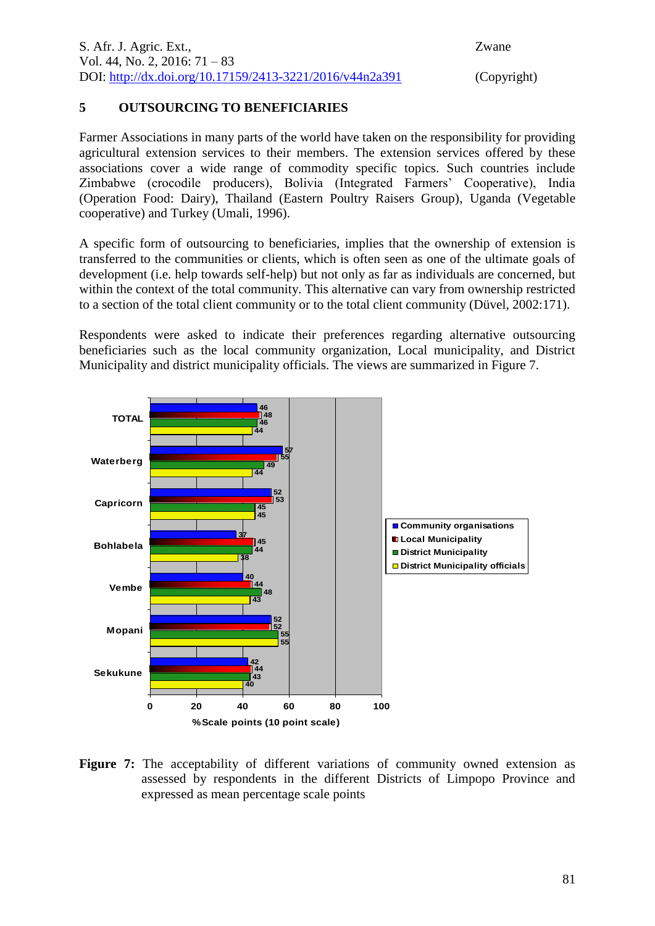#### **5 OUTSOURCING TO BENEFICIARIES**

Farmer Associations in many parts of the world have taken on the responsibility for providing agricultural extension services to their members. The extension services offered by these associations cover a wide range of commodity specific topics. Such countries include Zimbabwe (crocodile producers), Bolivia (Integrated Farmers' Cooperative), India (Operation Food: Dairy), Thailand (Eastern Poultry Raisers Group), Uganda (Vegetable cooperative) and Turkey (Umali, 1996).

A specific form of outsourcing to beneficiaries, implies that the ownership of extension is transferred to the communities or clients, which is often seen as one of the ultimate goals of development (i.e. help towards self-help) but not only as far as individuals are concerned, but within the context of the total community. This alternative can vary from ownership restricted to a section of the total client community or to the total client community (Düvel, 2002:171).

Respondents were asked to indicate their preferences regarding alternative outsourcing beneficiaries such as the local community organization, Local municipality, and District Municipality and district municipality officials. The views are summarized in Figure 7.



**Figure 7:** The acceptability of different variations of community owned extension as assessed by respondents in the different Districts of Limpopo Province and expressed as mean percentage scale points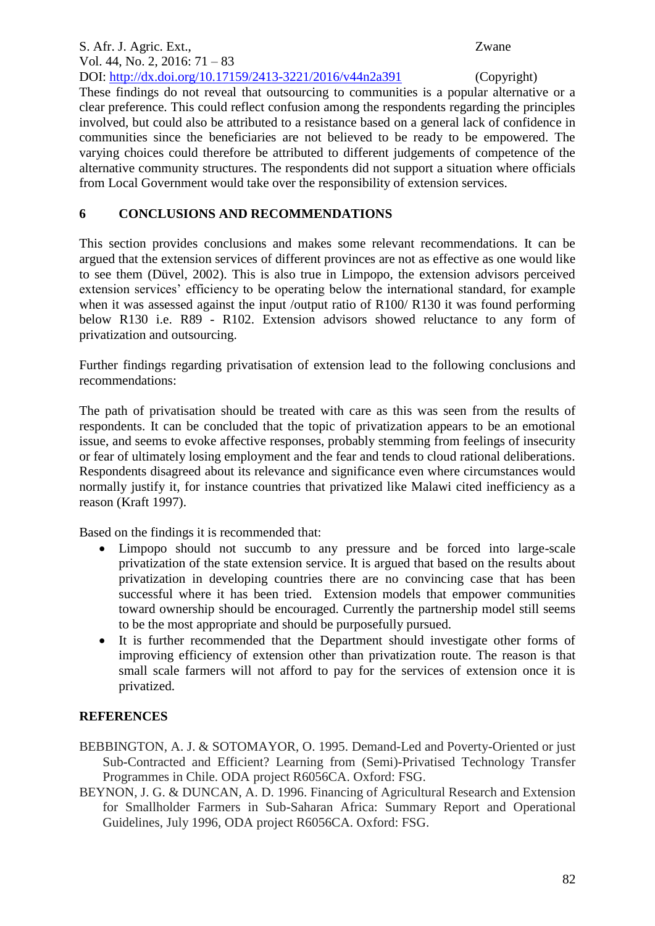#### S. Afr. J. Agric. Ext., Zwane Vol. 44, No. 2, 2016: 71 – 83 DOI: http://dx.doi.org/10.17159/2413-3221/2016/v44n2a391 (Copyright)

These findings do not reveal that outsourcing to communities is a popular alternative or a clear preference. This could reflect confusion among the respondents regarding the principles involved, but could also be attributed to a resistance based on a general lack of confidence in communities since the beneficiaries are not believed to be ready to be empowered. The varying choices could therefore be attributed to different judgements of competence of the alternative community structures. The respondents did not support a situation where officials from Local Government would take over the responsibility of extension services.

### **6 CONCLUSIONS AND RECOMMENDATIONS**

This section provides conclusions and makes some relevant recommendations. It can be argued that the extension services of different provinces are not as effective as one would like to see them (Düvel, 2002). This is also true in Limpopo, the extension advisors perceived extension services' efficiency to be operating below the international standard, for example when it was assessed against the input /output ratio of R100/ R130 it was found performing below R130 i.e. R89 - R102. Extension advisors showed reluctance to any form of privatization and outsourcing.

Further findings regarding privatisation of extension lead to the following conclusions and recommendations:

The path of privatisation should be treated with care as this was seen from the results of respondents. It can be concluded that the topic of privatization appears to be an emotional issue, and seems to evoke affective responses, probably stemming from feelings of insecurity or fear of ultimately losing employment and the fear and tends to cloud rational deliberations. Respondents disagreed about its relevance and significance even where circumstances would normally justify it, for instance countries that privatized like Malawi cited inefficiency as a reason (Kraft 1997).

Based on the findings it is recommended that:

- Limpopo should not succumb to any pressure and be forced into large-scale privatization of the state extension service. It is argued that based on the results about privatization in developing countries there are no convincing case that has been successful where it has been tried. Extension models that empower communities toward ownership should be encouraged. Currently the partnership model still seems to be the most appropriate and should be purposefully pursued.
- It is further recommended that the Department should investigate other forms of improving efficiency of extension other than privatization route. The reason is that small scale farmers will not afford to pay for the services of extension once it is privatized.

## **REFERENCES**

- BEBBINGTON, A. J. & SOTOMAYOR, O. 1995. Demand-Led and Poverty-Oriented or just Sub-Contracted and Efficient? Learning from (Semi)-Privatised Technology Transfer Programmes in Chile. ODA project R6056CA. Oxford: FSG.
- BEYNON, J. G. & DUNCAN, A. D. 1996. Financing of Agricultural Research and Extension for Smallholder Farmers in Sub-Saharan Africa: Summary Report and Operational Guidelines, July 1996, ODA project R6056CA. Oxford: FSG.